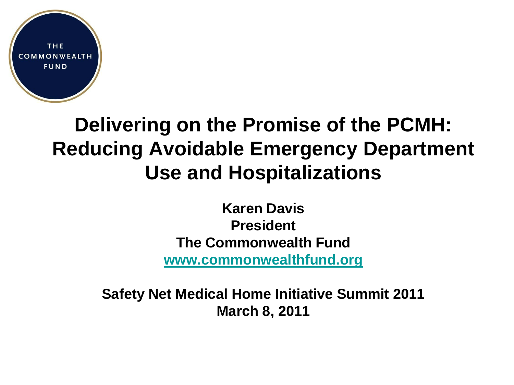

# **Delivering on the Promise of the PCMH: Reducing Avoidable Emergency Department Use and Hospitalizations**

**Karen Davis President The Commonwealth Fund [www.commonwealthfund.org](http://www.commonwealthfund.org/)**

**Safety Net Medical Home Initiative Summit 2011 March 8, 2011**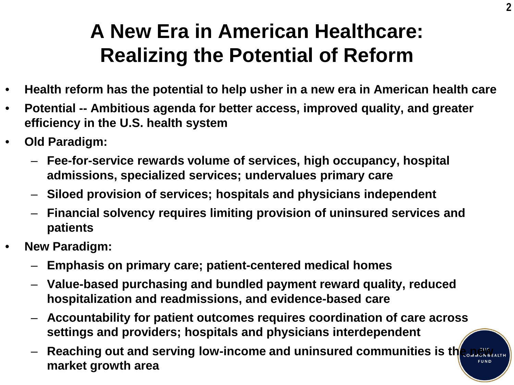# **A New Era in American Healthcare: Realizing the Potential of Reform**

- **Health reform has the potential to help usher in a new era in American health care**
- **Potential -- Ambitious agenda for better access, improved quality, and greater efficiency in the U.S. health system**
- **Old Paradigm:**
	- **Fee-for-service rewards volume of services, high occupancy, hospital admissions, specialized services; undervalues primary care**
	- **Siloed provision of services; hospitals and physicians independent**
	- **Financial solvency requires limiting provision of uninsured services and patients**
- **New Paradigm:**
	- **Emphasis on primary care; patient-centered medical homes**
	- **Value-based purchasing and bundled payment reward quality, reduced hospitalization and readmissions, and evidence-based care**
	- **Accountability for patient outcomes requires coordination of care across settings and providers; hospitals and physicians interdependent**
	- Reaching out and serving low-income and uninsured communities is the new **Repartment market growth area**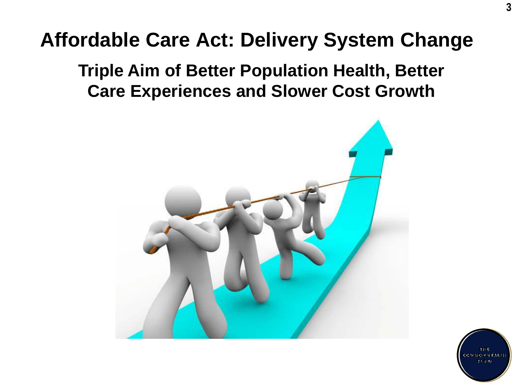# **Affordable Care Act: Delivery System Change**

### **Triple Aim of Better Population Health, Better Care Experiences and Slower Cost Growth**



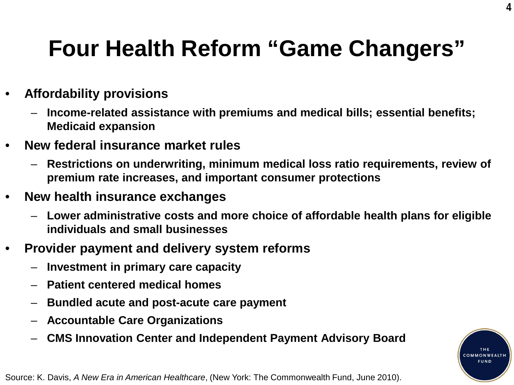# **Four Health Reform "Game Changers"**

**4**

**COMMONWEALT** FUND

#### • **Affordability provisions**

- **Income-related assistance with premiums and medical bills; essential benefits; Medicaid expansion**
- **New federal insurance market rules**
	- **Restrictions on underwriting, minimum medical loss ratio requirements, review of premium rate increases, and important consumer protections**
- **New health insurance exchanges** 
	- **Lower administrative costs and more choice of affordable health plans for eligible individuals and small businesses**
- **Provider payment and delivery system reforms**
	- **Investment in primary care capacity**
	- **Patient centered medical homes**
	- **Bundled acute and post-acute care payment**
	- **Accountable Care Organizations**
	- **CMS Innovation Center and Independent Payment Advisory Board**

Source: K. Davis, *A New Era in American Healthcare*, (New York: The Commonwealth Fund, June 2010).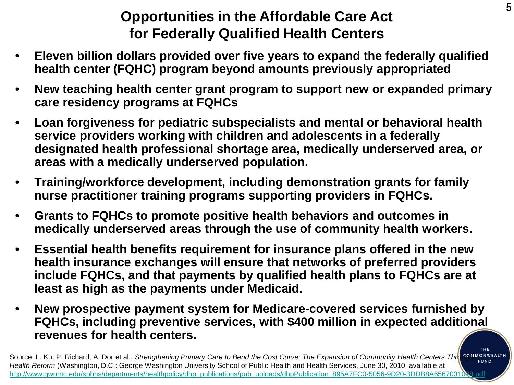### **Opportunities in the Affordable Care Act for Federally Qualified Health Centers**

- **Eleven billion dollars provided over five years to expand the federally qualified health center (FQHC) program beyond amounts previously appropriated**
- **New teaching health center grant program to support new or expanded primary care residency programs at FQHCs**
- **Loan forgiveness for pediatric subspecialists and mental or behavioral health service providers working with children and adolescents in a federally designated health professional shortage area, medically underserved area, or areas with a medically underserved population.**
- **Training/workforce development, including demonstration grants for family nurse practitioner training programs supporting providers in FQHCs.**
- **Grants to FQHCs to promote positive health behaviors and outcomes in medically underserved areas through the use of community health workers.**
- **Essential health benefits requirement for insurance plans offered in the new health insurance exchanges will ensure that networks of preferred providers include FQHCs, and that payments by qualified health plans to FQHCs are at least as high as the payments under Medicaid.**
- **New prospective payment system for Medicare-covered services furnished by FQHCs, including preventive services, with \$400 million in expected additional revenues for health centers.**

Source: L. Ku, P. Richard, A. Dor et al., *Strengthening Primary Care to Bend the Cost Curve: The Expansion of Community Health Centers Thro<sup>668MMONWEALTH</sup>* **FUND** *Health Reform* (Washington, D.C.: George Washington University School of Public Health and Health Services, June 30, 2010, available at http://www.gwumc.edu/sphhs/departments/healthpolicy/dhp\_publications/pub\_uploads/dhpPublication\_895A7FC0-5056-9D20-3DDB8A6567031078.pdf

THE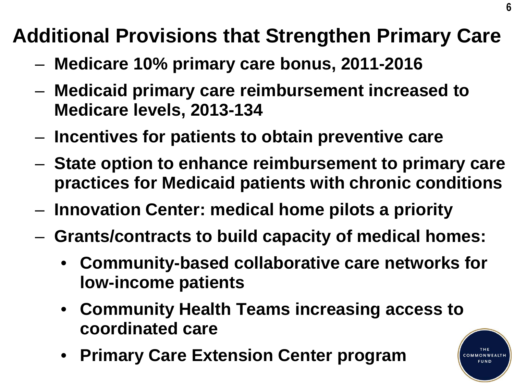# **Additional Provisions that Strengthen Primary Care**

- **Medicare 10% primary care bonus, 2011-2016**
- **Medicaid primary care reimbursement increased to Medicare levels, 2013-134**
- **Incentives for patients to obtain preventive care**
- **State option to enhance reimbursement to primary care practices for Medicaid patients with chronic conditions**
- **Innovation Center: medical home pilots a priority**
- **Grants/contracts to build capacity of medical homes:**
	- **Community-based collaborative care networks for low-income patients**
	- **Community Health Teams increasing access to coordinated care**
	- **Primary Care Extension Center program**



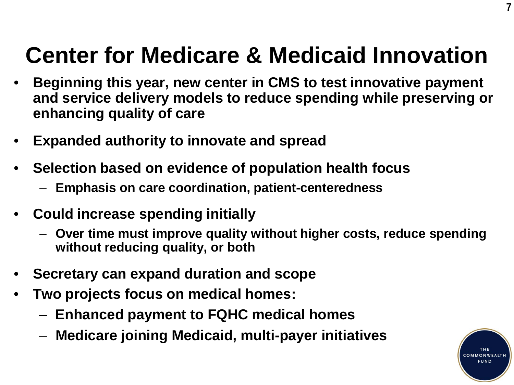# **Center for Medicare & Medicaid Innovation**

- **Beginning this year, new center in CMS to test innovative payment and service delivery models to reduce spending while preserving or enhancing quality of care**
- **Expanded authority to innovate and spread**
- **Selection based on evidence of population health focus**
	- **Emphasis on care coordination, patient-centeredness**
- **Could increase spending initially**
	- **Over time must improve quality without higher costs, reduce spending without reducing quality, or both**
- **Secretary can expand duration and scope**
- **Two projects focus on medical homes:**
	- **Enhanced payment to FQHC medical homes**
	- **Medicare joining Medicaid, multi-payer initiatives**



**7**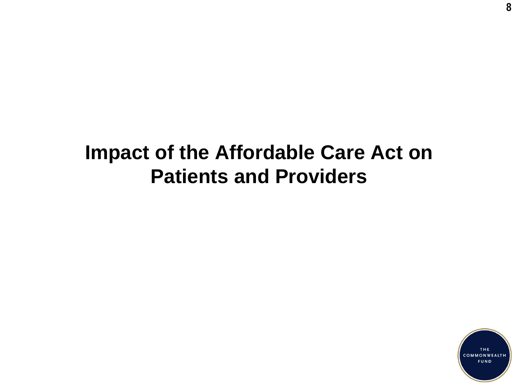# **Impact of the Affordable Care Act on Patients and Providers**

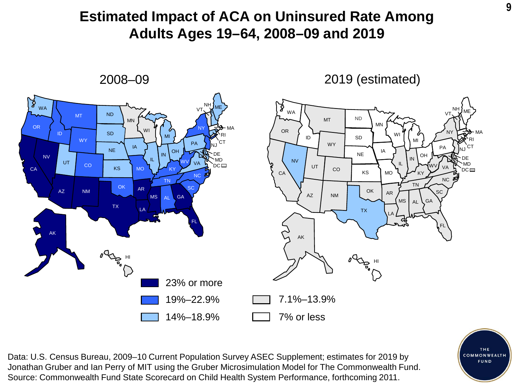### **<sup>9</sup> Estimated Impact of ACA on Uninsured Rate Among Adults Ages 19–64, 2008–09 and 2019**

2008–09



2019 (estimated)



Data: U.S. Census Bureau, 2009–10 Current Population Survey ASEC Supplement; estimates for 2019 by Jonathan Gruber and Ian Perry of MIT using the Gruber Microsimulation Model for The Commonwealth Fund. Source: Commonwealth Fund State Scorecard on Child Health System Performance, forthcoming 2011.

THE COMMONWEALTH **FUND**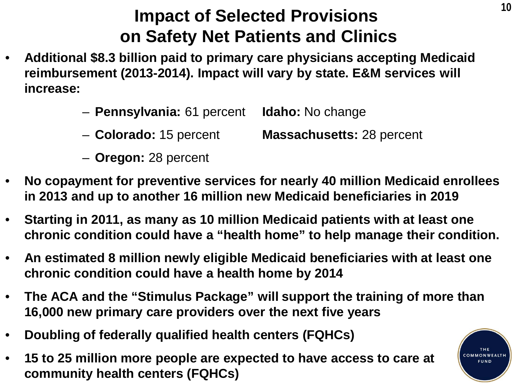### **Impact of Selected Provisions on Safety Net Patients and Clinics**

- **Additional \$8.3 billion paid to primary care physicians accepting Medicaid reimbursement (2013-2014). Impact will vary by state. E&M services will increase:**
	- **Pennsylvania:** 61 percent **Idaho:** No change
	- **Colorado:** 15 percent **Massachusetts:** 28 percent
	- **Oregon:** 28 percent
- **No copayment for preventive services for nearly 40 million Medicaid enrollees in 2013 and up to another 16 million new Medicaid beneficiaries in 2019**
- **Starting in 2011, as many as 10 million Medicaid patients with at least one chronic condition could have a "health home" to help manage their condition.**
- **An estimated 8 million newly eligible Medicaid beneficiaries with at least one chronic condition could have a health home by 2014**
- **The ACA and the "Stimulus Package" will support the training of more than 16,000 new primary care providers over the next five years**
- **Doubling of federally qualified health centers (FQHCs)**
- **15 to 25 million more people are expected to have access to care at community health centers (FQHCs)**

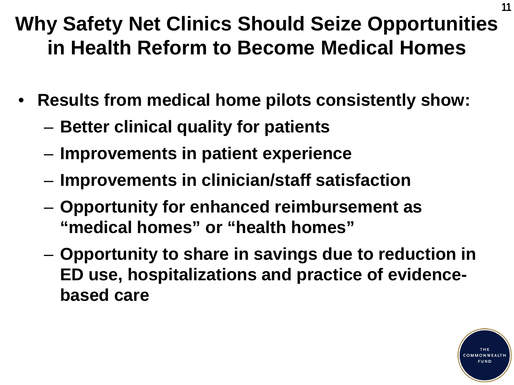# **Why Safety Net Clinics Should Seize Opportunities in Health Reform to Become Medical Homes**

- **Results from medical home pilots consistently show:** 
	- **Better clinical quality for patients**
	- **Improvements in patient experience**
	- **Improvements in clinician/staff satisfaction**
	- **Opportunity for enhanced reimbursement as "medical homes" or "health homes"**
	- **Opportunity to share in savings due to reduction in ED use, hospitalizations and practice of evidencebased care**



**11**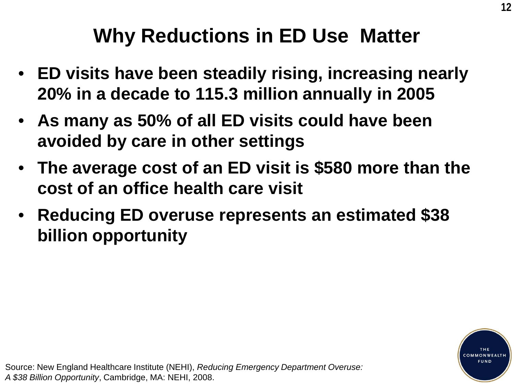# **Why Reductions in ED Use Matter**

- **ED visits have been steadily rising, increasing nearly 20% in a decade to 115.3 million annually in 2005**
- **As many as 50% of all ED visits could have been avoided by care in other settings**
- **The average cost of an ED visit is \$580 more than the cost of an office health care visit**
- **Reducing ED overuse represents an estimated \$38 billion opportunity**

Source: New England Healthcare Institute (NEHI), *Reducing Emergency Department Overuse: A \$38 Billion Opportunity*, Cambridge, MA: NEHI, 2008.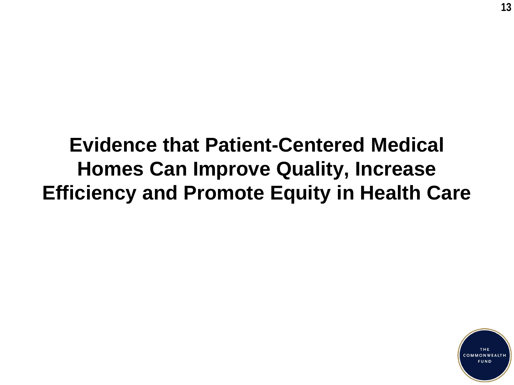# **Evidence that Patient-Centered Medical Homes Can Improve Quality, Increase Efficiency and Promote Equity in Health Care**

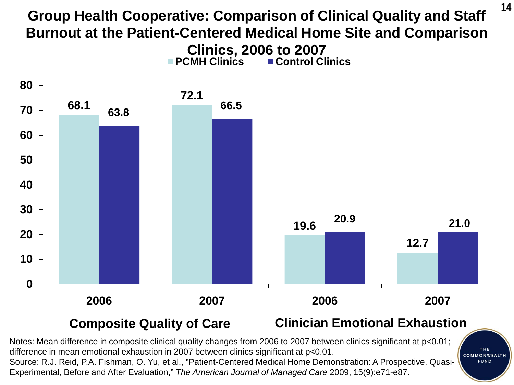### **<sup>14</sup> Group Health Cooperative: Comparison of Clinical Quality and Staff Burnout at the Patient-Centered Medical Home Site and Comparison Clinics, 2006 to 2007 PCMH Clinics ■ Control Clinics**



#### **Composite Quality of Care Clinician Emotional Exhaustion**

Notes: Mean difference in composite clinical quality changes from 2006 to 2007 between clinics significant at p<0.01; difference in mean emotional exhaustion in 2007 between clinics significant at p<0.01. Source: R.J. Reid, P.A. Fishman, O. Yu, et al., "Patient-Centered Medical Home Demonstration: A Prospective, Quasi-Experimental, Before and After Evaluation," *The American Journal of Managed Care* 2009, 15(9):e71-e87.

COMMONWEALTH **FUND** 

THE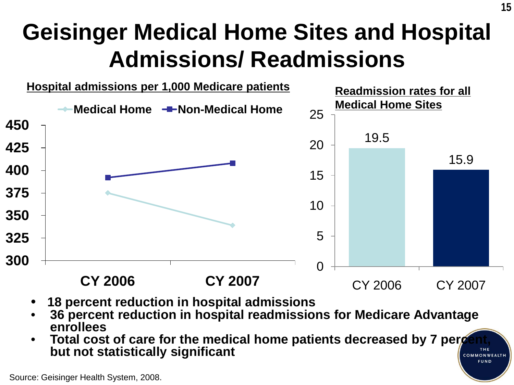# **Geisinger Medical Home Sites and Hospital Admissions/ Readmissions**



- **18 percent reduction in hospital admissions**
- **36 percent reduction in hospital readmissions for Medicare Advantage enrollees**
- **Total cost of care for the medical home patients decreased by 7 percent,**  $_{net}$  **but not ctatictically cignificant but not statistically significant** COMMONWEALTH **FUND**

Source: Geisinger Health System, 2008.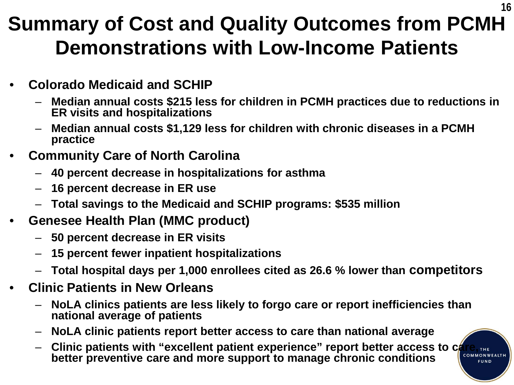# **Summary of Cost and Quality Outcomes from PCMH Demonstrations with Low-Income Patients**

- **Colorado Medicaid and SCHIP**
	- **Median annual costs \$215 less for children in PCMH practices due to reductions in ER visits and hospitalizations**
	- **Median annual costs \$1,129 less for children with chronic diseases in a PCMH practice**
- **Community Care of North Carolina**
	- **40 percent decrease in hospitalizations for asthma**
	- **16 percent decrease in ER use**
	- **Total savings to the Medicaid and SCHIP programs: \$535 million**
- **Genesee Health Plan (MMC product)**
	- **50 percent decrease in ER visits**
	- **15 percent fewer inpatient hospitalizations**
	- **Total hospital days per 1,000 enrollees cited as 26.6 % lower than competitors**
- **Clinic Patients in New Orleans**
	- **NoLA clinics patients are less likely to forgo care or report inefficiencies than national average of patients**
	- **NoLA clinic patients report better access to care than national average**
	- Clinic patients with "excellent patient experience" report better access to care, THE **better preventive care and more support to manage chronic conditions**

**FUND**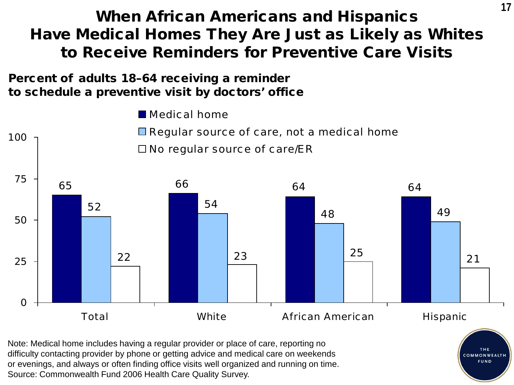### When African Americans and Hispanics Have Medical Homes They Are Just as Likely as Whites to Receive Reminders for Preventive Care Visits

Percent of adults 18–64 receiving a reminder to schedule a preventive visit by doctors' office



Note: Medical home includes having a regular provider or place of care, reporting no difficulty contacting provider by phone or getting advice and medical care on weekends or evenings, and always or often finding office visits well organized and running on time. Source: Commonwealth Fund 2006 Health Care Quality Survey.



**17**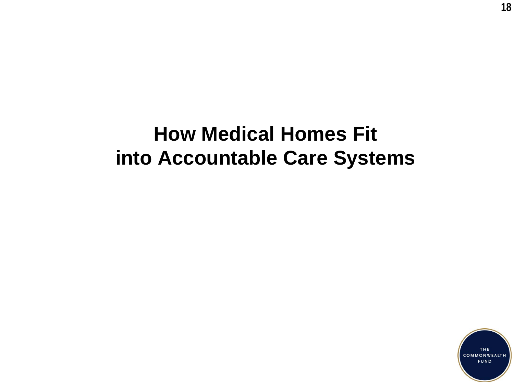# **How Medical Homes Fit into Accountable Care Systems**

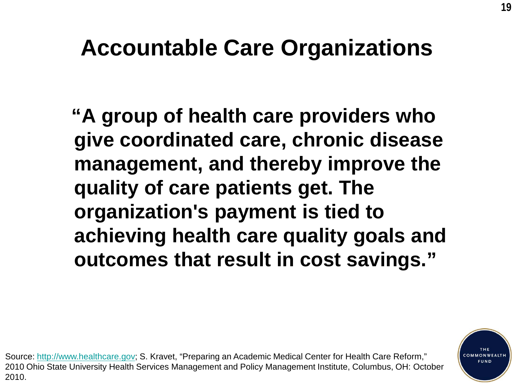# **Accountable Care Organizations**

**"A group of health care providers who give coordinated care, chronic disease management, and thereby improve the quality of care patients get. The organization's payment is tied to achieving health care quality goals and outcomes that result in cost savings."**

Source: [http://www.healthcare.gov](http://www.healthcare.gov/); S. Kravet, "Preparing an Academic Medical Center for Health Care Reform," 2010 Ohio State University Health Services Management and Policy Management Institute, Columbus, OH: October 2010.

**COMMONWE FUND**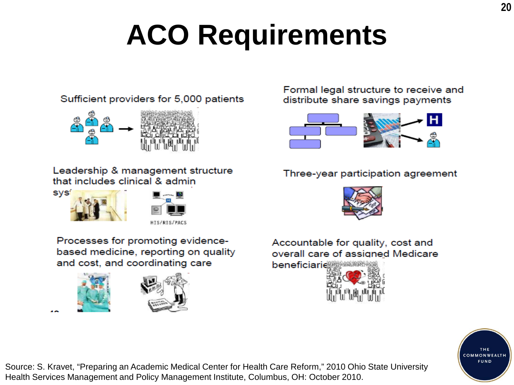# **ACO Requirements**



Leadership & management structure that includes clinical & admin

Sufficient providers for 5,000 patients





Processes for promoting evidencebased medicine, reporting on quality and cost, and coordinating care





Formal legal structure to receive and distribute share savings payments



#### Three-year participation agreement



Accountable for quality, cost and overall care of assigned Medicare





Source: S. Kravet, "Preparing an Academic Medical Center for Health Care Reform," 2010 Ohio State University Health Services Management and Policy Management Institute, Columbus, OH: October 2010.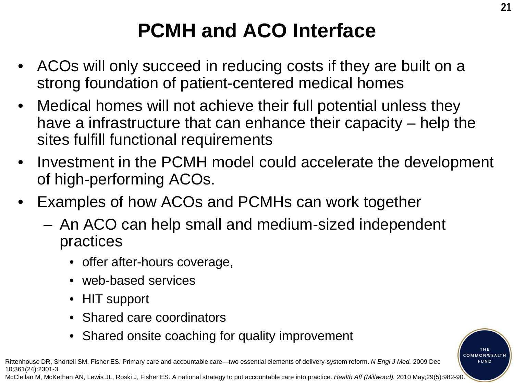# **PCMH and ACO Interface**

- ACOs will only succeed in reducing costs if they are built on a strong foundation of patient-centered medical homes
- Medical homes will not achieve their full potential unless they have a infrastructure that can enhance their capacity – help the sites fulfill functional requirements
- Investment in the PCMH model could accelerate the development of high-performing ACOs.
- Examples of how ACOs and PCMHs can work together
	- An ACO can help small and medium-sized independent practices
		- offer after-hours coverage,
		- web-based services
		- HIT support
		- Shared care coordinators
		- Shared onsite coaching for quality improvement

Rittenhouse DR, Shortell SM, Fisher ES. Primary care and accountable care—two essential elements of delivery-system reform. *N Engl J Med.* 2009 Dec 10;361(24):2301-3.

McClellan M, McKethan AN, Lewis JL, Roski J, Fisher ES. A national strategy to put accountable care into practice. *Health Aff (Millwood).* 2010 May;29(5):982-90.

**COMMONWEALT** FUND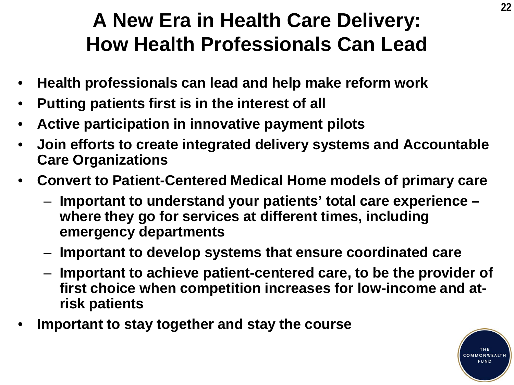# **A New Era in Health Care Delivery: How Health Professionals Can Lead**

- **Health professionals can lead and help make reform work**
- **Putting patients first is in the interest of all**
- **Active participation in innovative payment pilots**
- **Join efforts to create integrated delivery systems and Accountable Care Organizations**
- **Convert to Patient-Centered Medical Home models of primary care**
	- **Important to understand your patients' total care experience – where they go for services at different times, including emergency departments**
	- **Important to develop systems that ensure coordinated care**
	- **Important to achieve patient-centered care, to be the provider of first choice when competition increases for low-income and atrisk patients**
- **Important to stay together and stay the course**